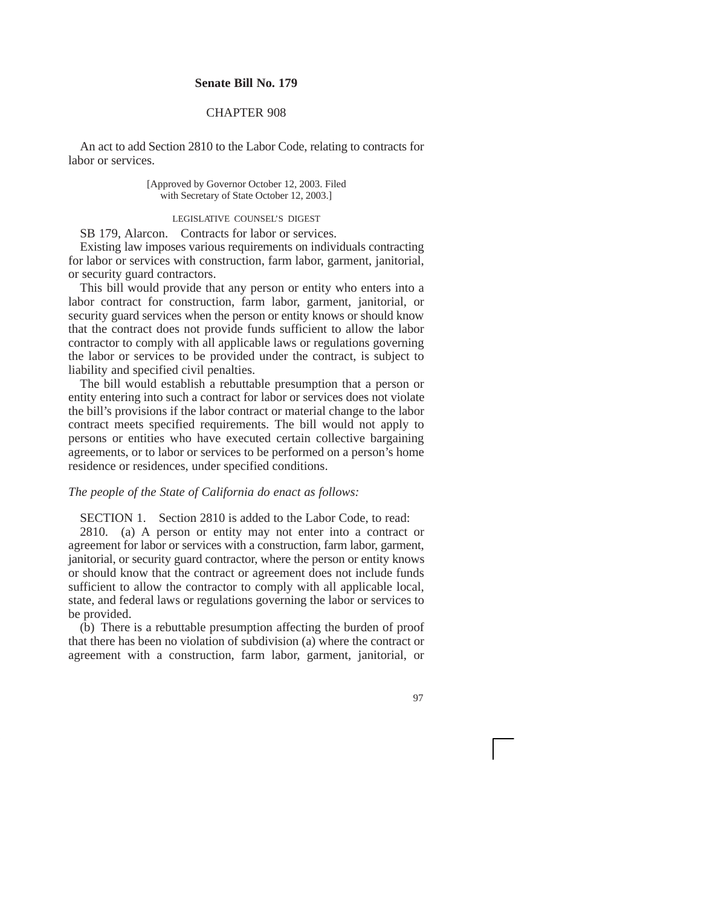## **Senate Bill No. 179**

## CHAPTER 908

An act to add Section 2810 to the Labor Code, relating to contracts for labor or services.

> [Approved by Governor October 12, 2003. Filed with Secretary of State October 12, 2003.]

## LEGISLATIVE COUNSEL'S DIGEST

SB 179, Alarcon. Contracts for labor or services.

Existing law imposes various requirements on individuals contracting for labor or services with construction, farm labor, garment, janitorial, or security guard contractors.

This bill would provide that any person or entity who enters into a labor contract for construction, farm labor, garment, janitorial, or security guard services when the person or entity knows or should know that the contract does not provide funds sufficient to allow the labor contractor to comply with all applicable laws or regulations governing the labor or services to be provided under the contract, is subject to liability and specified civil penalties.

The bill would establish a rebuttable presumption that a person or entity entering into such a contract for labor or services does not violate the bill's provisions if the labor contract or material change to the labor contract meets specified requirements. The bill would not apply to persons or entities who have executed certain collective bargaining agreements, or to labor or services to be performed on a person's home residence or residences, under specified conditions.

## *The people of the State of California do enact as follows:*

SECTION 1. Section 2810 is added to the Labor Code, to read:

2810. (a) A person or entity may not enter into a contract or agreement for labor or services with a construction, farm labor, garment, janitorial, or security guard contractor, where the person or entity knows or should know that the contract or agreement does not include funds sufficient to allow the contractor to comply with all applicable local, state, and federal laws or regulations governing the labor or services to be provided.

(b) There is a rebuttable presumption affecting the burden of proof that there has been no violation of subdivision (a) where the contract or agreement with a construction, farm labor, garment, janitorial, or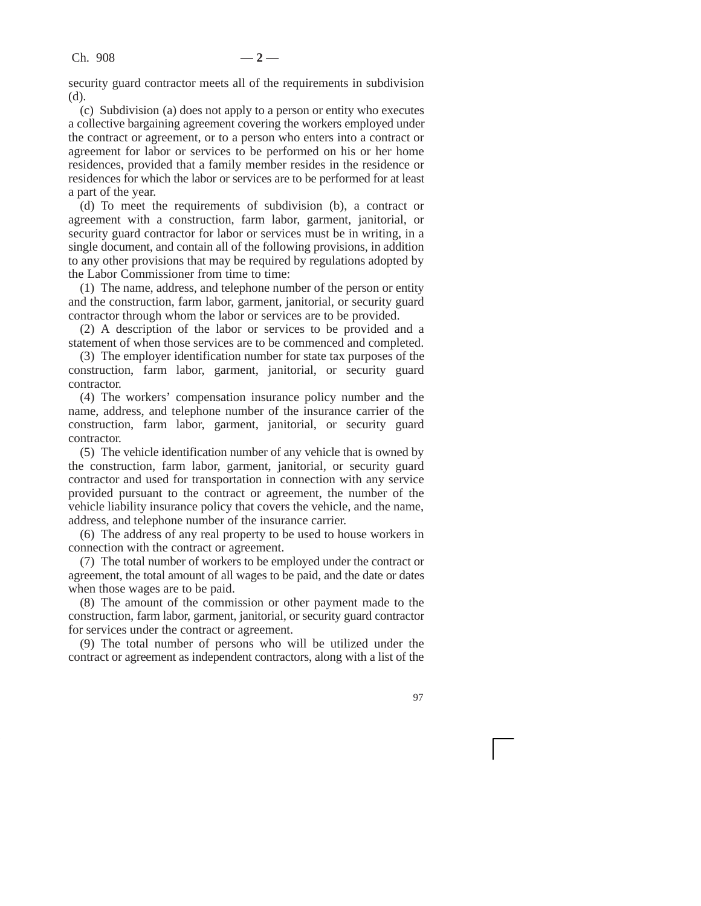security guard contractor meets all of the requirements in subdivision (d).

(c) Subdivision (a) does not apply to a person or entity who executes a collective bargaining agreement covering the workers employed under the contract or agreement, or to a person who enters into a contract or agreement for labor or services to be performed on his or her home residences, provided that a family member resides in the residence or residences for which the labor or services are to be performed for at least a part of the year.

(d) To meet the requirements of subdivision (b), a contract or agreement with a construction, farm labor, garment, janitorial, or security guard contractor for labor or services must be in writing, in a single document, and contain all of the following provisions, in addition to any other provisions that may be required by regulations adopted by the Labor Commissioner from time to time:

(1) The name, address, and telephone number of the person or entity and the construction, farm labor, garment, janitorial, or security guard contractor through whom the labor or services are to be provided.

(2) A description of the labor or services to be provided and a statement of when those services are to be commenced and completed.

(3) The employer identification number for state tax purposes of the construction, farm labor, garment, janitorial, or security guard contractor.

(4) The workers' compensation insurance policy number and the name, address, and telephone number of the insurance carrier of the construction, farm labor, garment, janitorial, or security guard contractor.

(5) The vehicle identification number of any vehicle that is owned by the construction, farm labor, garment, janitorial, or security guard contractor and used for transportation in connection with any service provided pursuant to the contract or agreement, the number of the vehicle liability insurance policy that covers the vehicle, and the name, address, and telephone number of the insurance carrier.

(6) The address of any real property to be used to house workers in connection with the contract or agreement.

(7) The total number of workers to be employed under the contract or agreement, the total amount of all wages to be paid, and the date or dates when those wages are to be paid.

(8) The amount of the commission or other payment made to the construction, farm labor, garment, janitorial, or security guard contractor for services under the contract or agreement.

(9) The total number of persons who will be utilized under the contract or agreement as independent contractors, along with a list of the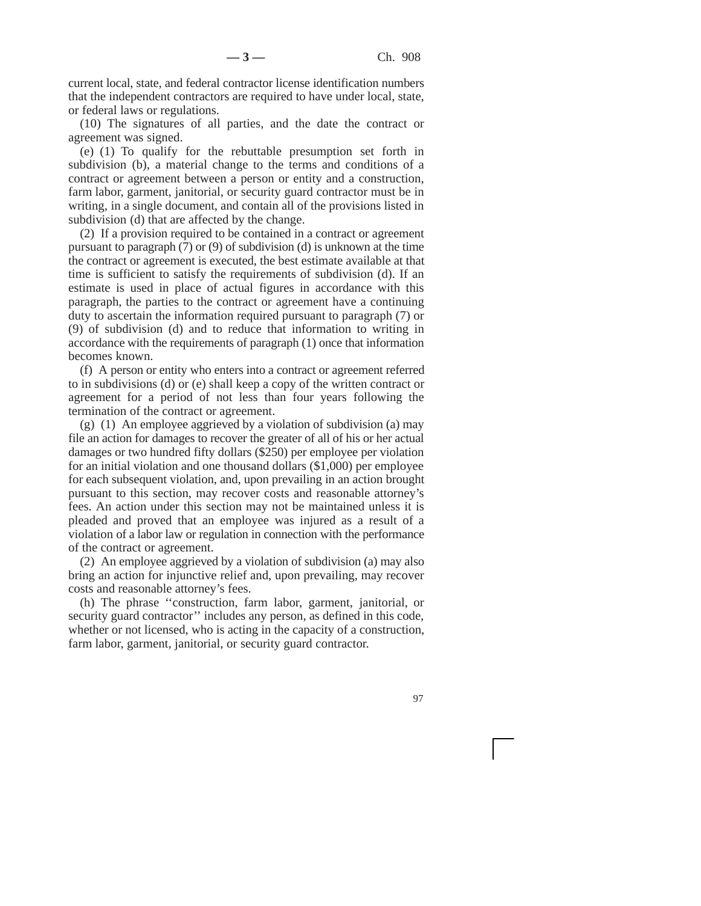current local, state, and federal contractor license identification numbers that the independent contractors are required to have under local, state, or federal laws or regulations.

(10) The signatures of all parties, and the date the contract or agreement was signed.

(e) (1) To qualify for the rebuttable presumption set forth in subdivision (b), a material change to the terms and conditions of a contract or agreement between a person or entity and a construction, farm labor, garment, janitorial, or security guard contractor must be in writing, in a single document, and contain all of the provisions listed in subdivision (d) that are affected by the change.

(2) If a provision required to be contained in a contract or agreement pursuant to paragraph (7) or (9) of subdivision (d) is unknown at the time the contract or agreement is executed, the best estimate available at that time is sufficient to satisfy the requirements of subdivision (d). If an estimate is used in place of actual figures in accordance with this paragraph, the parties to the contract or agreement have a continuing duty to ascertain the information required pursuant to paragraph (7) or (9) of subdivision (d) and to reduce that information to writing in accordance with the requirements of paragraph (1) once that information becomes known.

(f) A person or entity who enters into a contract or agreement referred to in subdivisions (d) or (e) shall keep a copy of the written contract or agreement for a period of not less than four years following the termination of the contract or agreement.

(g) (1) An employee aggrieved by a violation of subdivision (a) may file an action for damages to recover the greater of all of his or her actual damages or two hundred fifty dollars (\$250) per employee per violation for an initial violation and one thousand dollars (\$1,000) per employee for each subsequent violation, and, upon prevailing in an action brought pursuant to this section, may recover costs and reasonable attorney's fees. An action under this section may not be maintained unless it is pleaded and proved that an employee was injured as a result of a violation of a labor law or regulation in connection with the performance of the contract or agreement.

(2) An employee aggrieved by a violation of subdivision (a) may also bring an action for injunctive relief and, upon prevailing, may recover costs and reasonable attorney's fees.

(h) The phrase ''construction, farm labor, garment, janitorial, or security guard contractor" includes any person, as defined in this code, whether or not licensed, who is acting in the capacity of a construction, farm labor, garment, janitorial, or security guard contractor.